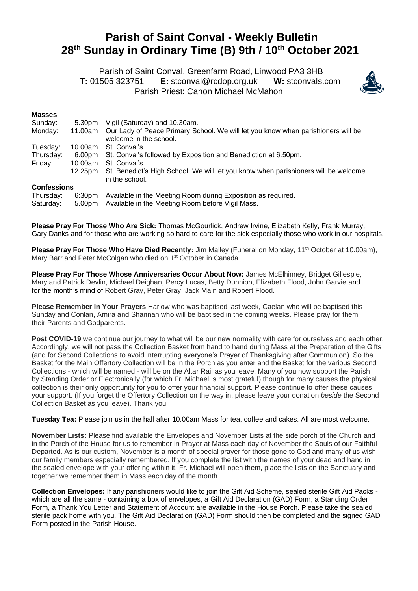## **Parish of Saint Conval - Weekly Bulletin 28 th Sunday in Ordinary Time (B) 9th / 10th October 2021**

 Parish of Saint Conval, Greenfarm Road, Linwood PA3 3HB **T:** 01505 323751 **E:** [stconval@rcdop.org.uk](mailto:stconval@rcdop.org.uk) **W:** stconvals.com Parish Priest: Canon Michael McMahon



| <b>Masses</b>          |                              |                                                                                                                  |
|------------------------|------------------------------|------------------------------------------------------------------------------------------------------------------|
| Sunday:                | 5.30pm                       | Vigil (Saturday) and 10.30am.                                                                                    |
| Monday:                | 11.00am                      | Our Lady of Peace Primary School. We will let you know when parishioners will be<br>welcome in the school.       |
| Tuesday:               | 10.00am                      | St. Conval's.                                                                                                    |
| Thursday:              | 6.00pm                       | St. Conval's followed by Exposition and Benediction at 6.50pm.                                                   |
| Friday:                | 10.00am                      | St. Conval's.                                                                                                    |
|                        | 12.25pm                      | St. Benedict's High School. We will let you know when parishioners will be welcome<br>in the school.             |
| <b>Confessions</b>     |                              |                                                                                                                  |
| Thursday:<br>Saturday: | 6:30 <sub>pm</sub><br>5.00pm | Available in the Meeting Room during Exposition as required.<br>Available in the Meeting Room before Vigil Mass. |

**Please Pray For Those Who Are Sick:** Thomas McGourlick, Andrew Irvine, Elizabeth Kelly, Frank Murray, Gary Danks and for those who are working so hard to care for the sick especially those who work in our hospitals.

Please Pray For Those Who Have Died Recently: Jim Malley (Funeral on Monday, 11<sup>th</sup> October at 10.00am), Mary Barr and Peter McColgan who died on 1<sup>st</sup> October in Canada.

**Please Pray For Those Whose Anniversaries Occur About Now:** James McElhinney, Bridget Gillespie, Mary and Patrick Devlin, Michael Deighan, Percy Lucas, Betty Dunnion, Elizabeth Flood, John Garvie and for the month's mind of Robert Gray, Peter Gray, Jack Main and Robert Flood.

**Please Remember In Your Prayers** Harlow who was baptised last week, Caelan who will be baptised this Sunday and Conlan, Amira and Shannah who will be baptised in the coming weeks. Please pray for them, their Parents and Godparents.

**Post COVID-19** we continue our journey to what will be our new normality with care for ourselves and each other. Accordingly, we will not pass the Collection Basket from hand to hand during Mass at the Preparation of the Gifts (and for Second Collections to avoid interrupting everyone's Prayer of Thanksgiving after Communion). So the Basket for the Main Offertory Collection will be in the Porch as you enter and the Basket for the various Second Collections - which will be named - will be on the Altar Rail as you leave. Many of you now support the Parish by Standing Order or Electronically (for which Fr. Michael is most grateful) though for many causes the physical collection is their only opportunity for you to offer your financial support. Please continue to offer these causes your support. (If you forget the Offertory Collection on the way in, please leave your donation *beside* the Second Collection Basket as you leave). Thank you!

**Tuesday Tea:** Please join us in the hall after 10.00am Mass for tea, coffee and cakes. All are most welcome.

**November Lists:** Please find available the Envelopes and November Lists at the side porch of the Church and in the Porch of the House for us to remember in Prayer at Mass each day of November the Souls of our Faithful Departed. As is our custom, November is a month of special prayer for those gone to God and many of us wish our family members especially remembered. If you complete the list with the names of your dead and hand in the sealed envelope with your offering within it, Fr. Michael will open them, place the lists on the Sanctuary and together we remember them in Mass each day of the month.

**Collection Envelopes:** If any parishioners would like to join the Gift Aid Scheme, sealed sterile Gift Aid Packs which are all the same - containing a box of envelopes, a Gift Aid Declaration (GAD) Form, a Standing Order Form, a Thank You Letter and Statement of Account are available in the House Porch. Please take the sealed sterile pack home with you. The Gift Aid Declaration (GAD) Form should then be completed and the signed GAD Form posted in the Parish House.